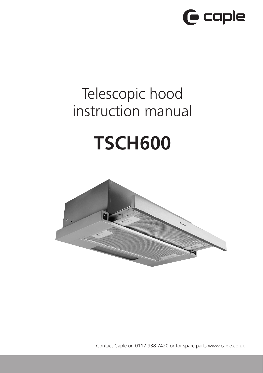

# Telescopic hood instruction manual

# **TSCH600**



Contact Caple on 0117 938 7420 or for spare parts www.caple.co.uk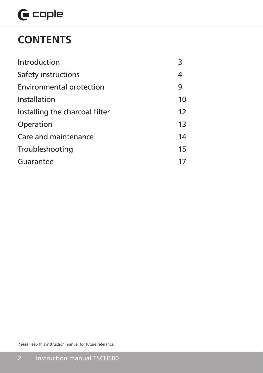# $\mathbf \Theta$  caple

## **CONTENTS**

| Introduction                    | 3  |
|---------------------------------|----|
| Safety instructions             |    |
| <b>Environmental protection</b> | 9  |
| Installation                    | 10 |
| Installing the charcoal filter  | 12 |
| Operation                       | 13 |
| Care and maintenance            |    |
| Troubleshooting                 |    |
| Guarantee                       |    |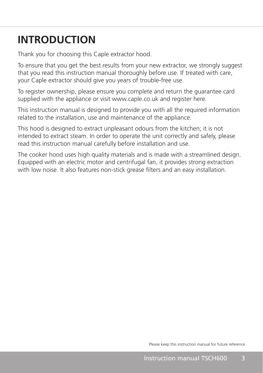## **INTRODUCTION**

Thank you for choosing this Caple extractor hood.

To ensure that you get the best results from your new extractor, we strongly suggest that you read this instruction manual thoroughly before use. If treated with care, your Caple extractor should give you years of trouble-free use.

To register ownership, please ensure you complete and return the guarantee card supplied with the appliance or visit www.caple.co.uk and register here.

This instruction manual is designed to provide you with all the required information related to the installation, use and maintenance of the appliance.

This hood is designed to extract unpleasant odours from the kitchen; it is not intended to extract steam. In order to operate the unit correctly and safely, please read this instruction manual carefully before installation and use.

The cooker hood uses high quality materials and is made with a streamlined design. Equipped with an electric motor and centrifugal fan, it provides strong extraction with low noise. It also features non-stick grease filters and an easy installation.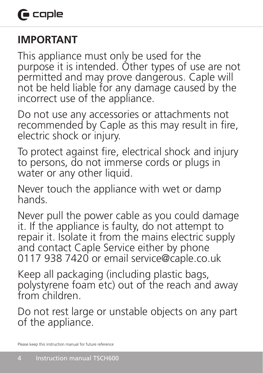## **IMPORTANT**

This appliance must only be used for the purpose it is intended. Other types of use are not permitted and may prove dangerous. Caple will not be held liable for any damage caused by the incorrect use of the appliance.

Do not use any accessories or attachments not recommended by Caple as this may result in fire, electric shock or injury.

To protect against fire, electrical shock and injury to persons, do not immerse cords or plugs in water or any other liquid.

Never touch the appliance with wet or damp hands.

Never pull the power cable as you could damage it. If the appliance is faulty, do not attempt to repair it. Isolate it from the mains electric supply and contact Caple Service either by phone 0117 938 7420 or email service@caple.co.uk

Keep all packaging (including plastic bags, polystyrene foam etc) out of the reach and away from children.

Do not rest large or unstable objects on any part of the appliance.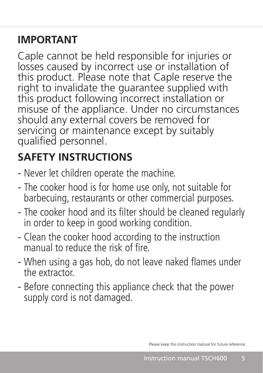## **IMPORTANT**

Caple cannot be held responsible for injuries or losses caused by incorrect use or installation of this product. Please note that Caple reserve the right to invalidate the guarantee supplied with this product following incorrect installation or misuse of the appliance. Under no circumstances should any external covers be removed for servicing or maintenance except by suitably qualified personnel.

## **SAFETY INSTRUCTIONS**

- Never let children operate the machine.
- The cooker hood is for home use only, not suitable for barbecuing, restaurants or other commercial purposes.
- The cooker hood and its filter should be cleaned regularly in order to keep in good working condition.
- Clean the cooker hood according to the instruction manual to reduce the risk of fire.
- When using a gas hob, do not leave naked flames under the extractor.
- Before connecting this appliance check that the power supply cord is not damaged.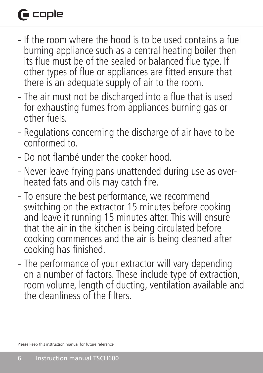# **G** caple

- If the room where the hood is to be used contains a fuel burning appliance such as a central heating boiler then its flue must be of the sealed or balanced flue type. If other types of flue or appliances are fitted ensure that there is an adequate supply of air to the room.
- The air must not be discharged into a flue that is used for exhausting fumes from appliances burning gas or other fuels.
- Regulations concerning the discharge of air have to be conformed to.
- Do not flambé under the cooker hood.
- Never leave frying pans unattended during use as overheated fats and oils may catch fire.
- To ensure the best performance, we recommend switching on the extractor 15 minutes before cooking and leave it running 15 minutes after. This will ensure that the air in the kitchen is being circulated before cooking commences and the air is being cleaned after cooking has finished.
- The performance of your extractor will vary depending on a number of factors. These include type of extraction, room volume, length of ducting, ventilation available and the cleanliness of the filters.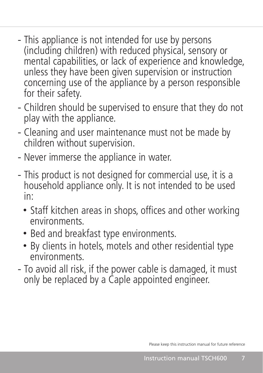- This appliance is not intended for use by persons (including children) with reduced physical, sensory or mental capabilities, or lack of experience and knowledge, unless they have been given supervision or instruction concerning use of the appliance by a person responsible for their safety.
- Children should be supervised to ensure that they do not play with the appliance.
- Cleaning and user maintenance must not be made by children without supervision.
- Never immerse the appliance in water.
- This product is not designed for commercial use, it is a household appliance only. It is not intended to be used in:
	- Staff kitchen areas in shops, offices and other working environments.
	- Bed and breakfast type environments.
	- By clients in hotels, motels and other residential type environments.
- To avoid all risk, if the power cable is damaged, it must only be replaced by a Caple appointed engineer.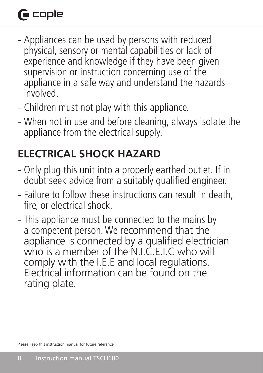# **G** caple

- Appliances can be used by persons with reduced physical, sensory or mental capabilities or lack of experience and knowledge if they have been given supervision or instruction concerning use of the appliance in a safe way and understand the hazards involved.
- Children must not play with this appliance.
- When not in use and before cleaning, always isolate the appliance from the electrical supply.

## **ELECTRICAL SHOCK HAZARD**

- Only plug this unit into a properly earthed outlet. If in doubt seek advice from a suitably qualified engineer.
- Failure to follow these instructions can result in death, fire, or electrical shock.
- This appliance must be connected to the mains by a competent person. We recommend that the appliance is connected by a qualified electrician who is a member of the N.I.C.E.I.C who will comply with the I.E.E and local regulations. Electrical information can be found on the rating plate.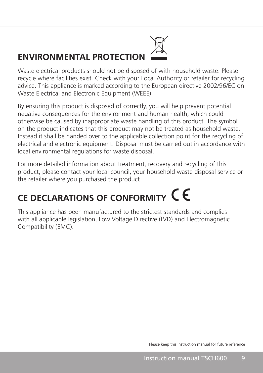### **ENVIRONMENTAL PROTECTION**



By ensuring this product is disposed of correctly, you will help prevent potential negative consequences for the environment and human health, which could otherwise be caused by inappropriate waste handling of this product. The symbol on the product indicates that this product may not be treated as household waste. Instead it shall be handed over to the applicable collection point for the recycling of electrical and electronic equipment. Disposal must be carried out in accordance with local environmental regulations for waste disposal.

For more detailed information about treatment, recovery and recycling of this product, please contact your local council, your household waste disposal service or the retailer where you purchased the product

# **CE DECLARATIONS OF CONFORMITY**

This appliance has been manufactured to the strictest standards and complies with all applicable legislation, Low Voltage Directive (LVD) and Electromagnetic Compatibility (EMC).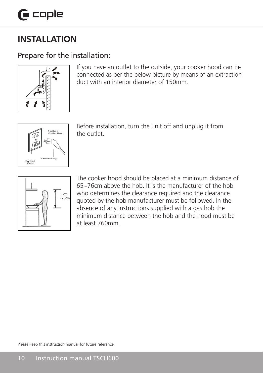#### **INSTALLATION**  $\overline{1}$  $\frac{1}{2}$  $\sim$   $\sim$

### Prepare for the installation:



If you have an outlet to the outside, your cooker hood can be connected as per the below picture by means of an extraction duct with an interior diameter of 150mm.



Before installation, turn the unit off and unplug it from the outlet.



 $\Box$  The cooker hood should be placed at a minimum distance of 65~76cm above the hob. It is the manufacturer of the hob  $\Box$   $\Box$   $\Box$   $\Box$   $\Box$   $\Box$  who determines the clearance required and the clearance  $\left| \bigcup_{n \in \mathbb{Z}} \right|$  and  $\left| \bigcup_{n \in \mathbb{Z}} \right|$  and the second by the hob manufacturer must be followed. In the absence of any instructions supplied with a gas hob the minimum distance between the hob and the hood must be at least 760mm.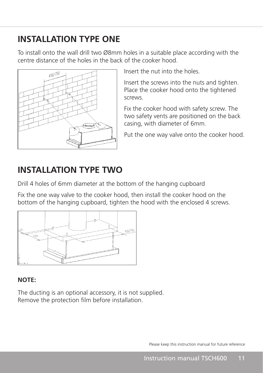### **INSTALLATION TYPE ONE**

To install onto the wall drill two Ø8mm holes in a suitable place according with the centre distance of the holes in the back of the cooker hood.  $S$ 



Insert the nut into the holes.

Insert the screws into the nuts and tighten. Place the cooker hood onto the tightened screws.

Fix the cooker hood with safety screw. The two safety vents are positioned on the back casing, with diameter of 6mm.

Put the one way valve onto the cooker hood.

### **INSTALLATION TYPE TWO**

Drill 4 holes of 6mm diameter at the bottom of the hanging cupboard

Fix the one way valve to the cooker hood, then install the cooker hood on the bottom of the hanging cupboard, tighten the hood with the enclosed 4 screws. 5 tom of the hanging cupboard, tighten the



### **NOTE:**

and the

The ducting is an optional accessory, it is not supplied. Remove the protection film before installation. mento to the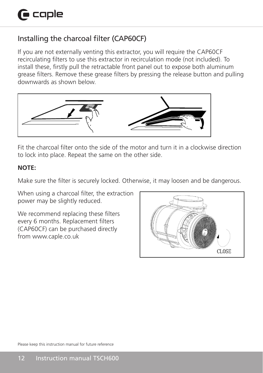### Installing the charcoal filter (CAP60CF)

If you are not externally venting this extractor, you will require the CAP60CF recirculating filters to use this extractor in recirculation mode (not included). To install these, firstly pull the retractable front panel out to expose both aluminum grease filters. Remove these grease filters by pressing the release button and pulling downwards as shown below. low.



Fit the charcoal filter onto the side of the motor and turn it in a clockwise direction to lock into place. Repeat the same on the other side.

### **NOTE:**

Make sure the filter is securely locked. Otherwise, it may loosen and be dangerous.

When using a charcoal filter, the extraction power may be slightly reduced.

We recommend replacing these filters every 6 months. Replacement filters (CAP60CF) can be purchased directly from www.caple.co.uk

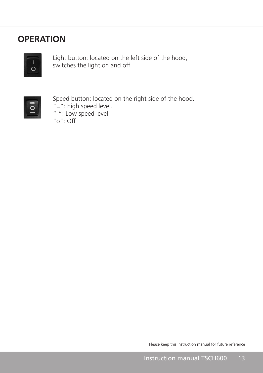### **OPERATION**



Light button: located on the left side of the hood, switches the light on and off



Speed button: located on the right side of the hood.  $"$ =": high speed level. "-": Low speed level. "o": Off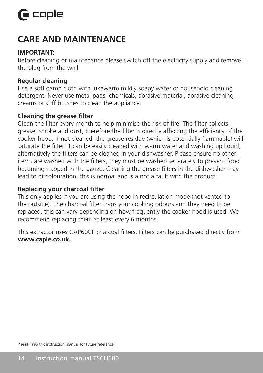### **CARE AND MAINTENANCE**

#### **IMPORTANT:**

Before cleaning or maintenance please switch off the electricity supply and remove the plug from the wall.

#### **Regular cleaning**

Use a soft damp cloth with lukewarm mildly soapy water or household cleaning detergent. Never use metal pads, chemicals, abrasive material, abrasive cleaning creams or stiff brushes to clean the appliance.

#### **Cleaning the grease filter**

Clean the filter every month to help minimise the risk of fire. The filter collects grease, smoke and dust, therefore the filter is directly affecting the efficiency of the cooker hood. If not cleaned, the grease residue (which is potentially flammable) will saturate the filter. It can be easily cleaned with warm water and washing up liquid, alternatively the filters can be cleaned in your dishwasher. Please ensure no other items are washed with the filters, they must be washed separately to prevent food becoming trapped in the gauze. Cleaning the grease filters in the dishwasher may lead to discolouration, this is normal and is a not a fault with the product.

### **Replacing your charcoal filter**

This only applies if you are using the hood in recirculation mode (not vented to the outside). The charcoal filter traps your cooking odours and they need to be replaced, this can vary depending on how frequently the cooker hood is used. We recommend replacing them at least every 6 months.

This extractor uses CAP60CF charcoal filters. Filters can be purchased directly from **www.caple.co.uk.**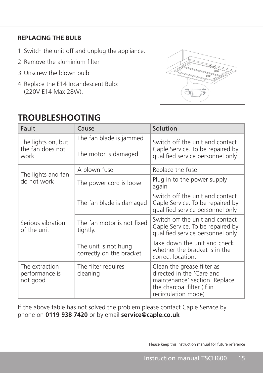### **REPLACING THE BULB**

- 1. Switch the unit off and unplug the appliance.
- 2. Remove the aluminium filter
- 3.Unscrew the blown bulb
- 4. Replace the E14 Incandescent Bulb: (220V E14 Max 28W).

### **TROUBLESHOOTING**



| Fault                                          | Cause                                            | Solution                                                                                                                                      |
|------------------------------------------------|--------------------------------------------------|-----------------------------------------------------------------------------------------------------------------------------------------------|
| The lights on, but<br>the fan does not<br>work | The fan blade is jammed                          | Switch off the unit and contact<br>Caple Service. To be repaired by<br>qualified service personnel only.                                      |
|                                                | The motor is damaged                             |                                                                                                                                               |
| The lights and fan<br>do not work              | A blown fuse                                     | Replace the fuse                                                                                                                              |
|                                                | The power cord is loose                          | Plug in to the power supply<br>again                                                                                                          |
| Serious vibration<br>of the unit               | The fan blade is damaged                         | Switch off the unit and contact<br>Caple Service. To be repaired by<br>qualified service personnel only                                       |
|                                                | The fan motor is not fixed<br>tightly.           | Switch off the unit and contact<br>Caple Service. To be repaired by<br>qualified service personnel only                                       |
|                                                | The unit is not hung<br>correctly on the bracket | Take down the unit and check<br>whether the bracket is in the<br>correct location.                                                            |
| The extraction<br>performance is<br>not good   | The filter requires<br>cleaning                  | Clean the grease filter as<br>directed in the 'Care and<br>maintenance' section. Replace<br>the charcoal filter (if in<br>recirculation mode) |

If the above table has not solved the problem please contact Caple Service by phone on **0119 938 7420** or by email **service@caple.co.uk**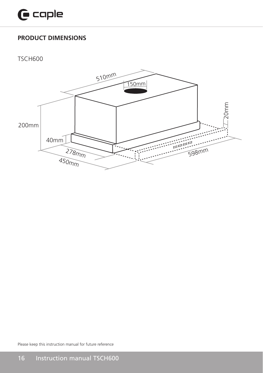### **PRODUCT DIMENSIONS**

TSCH600

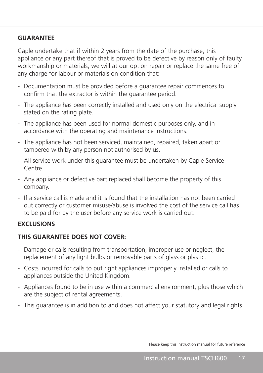#### **GUARANTEE**

Caple undertake that if within 2 years from the date of the purchase, this appliance or any part thereof that is proved to be defective by reason only of faulty workmanship or materials, we will at our option repair or replace the same free of any charge for labour or materials on condition that:

- Documentation must be provided before a guarantee repair commences to confirm that the extractor is within the guarantee period.
- The appliance has been correctly installed and used only on the electrical supply stated on the rating plate.
- The appliance has been used for normal domestic purposes only, and in accordance with the operating and maintenance instructions.
- The appliance has not been serviced, maintained, repaired, taken apart or tampered with by any person not authorised by us.
- All service work under this guarantee must be undertaken by Caple Service Centre.
- Any appliance or defective part replaced shall become the property of this company.
- If a service call is made and it is found that the installation has not been carried out correctly or customer misuse/abuse is involved the cost of the service call has to be paid for by the user before any service work is carried out.

#### **EXCLUSIONS**

#### **THIS GUARANTEE DOES NOT COVER:**

- Damage or calls resulting from transportation, improper use or neglect, the replacement of any light bulbs or removable parts of glass or plastic.
- Costs incurred for calls to put right appliances improperly installed or calls to appliances outside the United Kingdom.
- Appliances found to be in use within a commercial environment, plus those which are the subject of rental agreements.
- This guarantee is in addition to and does not affect your statutory and legal rights.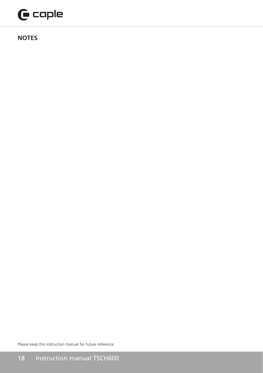# $\mathbf \Theta$  caple

**NOTES**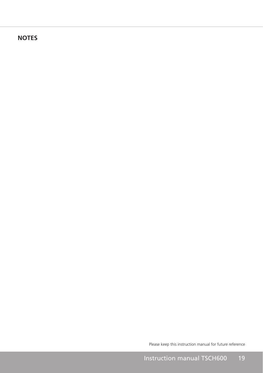### **NOTES**